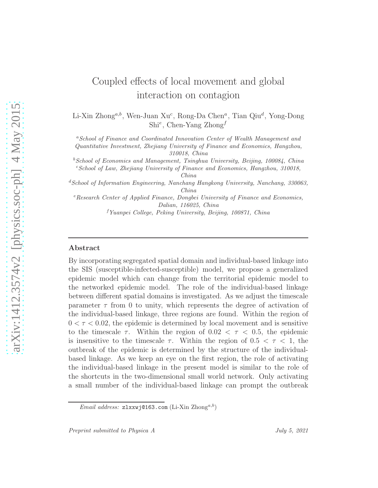# Coupled effects of local movement and global interaction on contagion

Li-Xin Zhong<sup>a,b</sup>, Wen-Juan Xu<sup>c</sup>, Rong-Da Chen<sup>a</sup>, Tian Qiu<sup>d</sup>, Yong-Dong  $\text{Shi}^e$ , Chen-Yang Zhong<sup>f</sup>

<sup>a</sup>School of Finance and Coordinated Innovation Center of Wealth Management and Quantitative Investment, Zhejiang University of Finance and Economics, Hangzhou, 310018, China

 $b$ School of Economics and Management, Tsinghua University, Beijing, 100084, China <sup>c</sup>School of Law, Zhejiang University of Finance and Economics, Hangzhou, 310018,

China

<sup>d</sup>School of Information Engineering, Nanchang Hangkong University, Nanchang, 330063, China

 $e$ Research Center of Applied Finance, Dongbei University of Finance and Economics, Dalian, 116025, China

<sup>f</sup>Yuanpei College, Peking University, Beijing, 100871, China

### Abstract

By incorporating segregated spatial domain and individual-based linkage into the SIS (susceptible-infected-susceptible) model, we propose a generalized epidemic model which can change from the territorial epidemic model to the networked epidemic model. The role of the individual-based linkage between different spatial domains is investigated. As we adjust the timescale parameter  $\tau$  from 0 to unity, which represents the degree of activation of the individual-based linkage, three regions are found. Within the region of  $0 < \tau < 0.02$ , the epidemic is determined by local movement and is sensitive to the timescale  $\tau$ . Within the region of  $0.02 < \tau < 0.5$ , the epidemic is insensitive to the timescale  $\tau$ . Within the region of  $0.5 < \tau < 1$ , the outbreak of the epidemic is determined by the structure of the individualbased linkage. As we keep an eye on the first region, the role of activating the individual-based linkage in the present model is similar to the role of the shortcuts in the two-dimensional small world network. Only activating a small number of the individual-based linkage can prompt the outbreak

Email address: zlxxwj@163.com (Li-Xin Zhong<sup>a,b</sup>)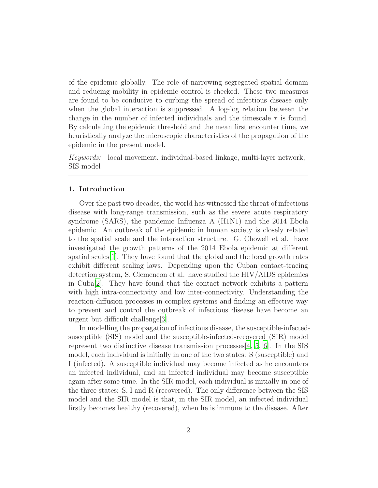of the epidemic globally. The role of narrowing segregated spatial domain and reducing mobility in epidemic control is checked. These two measures are found to be conducive to curbing the spread of infectious disease only when the global interaction is suppressed. A log-log relation between the change in the number of infected individuals and the timescale  $\tau$  is found. By calculating the epidemic threshold and the mean first encounter time, we heuristically analyze the microscopic characteristics of the propagation of the epidemic in the present model.

Keywords: local movement, individual-based linkage, multi-layer network, SIS model

# 1. Introduction

Over the past two decades, the world has witnessed the threat of infectious disease with long-range transmission, such as the severe acute respiratory syndrome (SARS), the pandemic Influenza A (H1N1) and the 2014 Ebola epidemic. An outbreak of the epidemic in human society is closely related to the spatial scale and the interaction structure. G. Chowell et al. have investigated the growth patterns of the 2014 Ebola epidemic at different spatial scales[\[1](#page-16-0)]. They have found that the global and the local growth rates exhibit different scaling laws. Depending upon the Cuban contact-tracing detection system, S. Clemencon et al. have studied the HIV/AIDS epidemics in Cuba[\[2\]](#page-16-1). They have found that the contact network exhibits a pattern with high intra-connectivity and low inter-connectivity. Understanding the reaction-diffusion processes in complex systems and finding an effective way to prevent and control the outbreak of infectious disease have become an urgent but difficult challenge[\[3](#page-16-2)].

In modelling the propagation of infectious disease, the susceptible-infectedsusceptible (SIS) model and the susceptible-infected-recovered (SIR) model represent two distinctive disease transmission processes[\[4](#page-17-0), [5](#page-17-1), [6\]](#page-17-2). In the SIS model, each individual is initially in one of the two states: S (susceptible) and I (infected). A susceptible individual may become infected as he encounters an infected individual, and an infected individual may become susceptible again after some time. In the SIR model, each individual is initially in one of the three states: S, I and R (recovered). The only difference between the SIS model and the SIR model is that, in the SIR model, an infected individual firstly becomes healthy (recovered), when he is immune to the disease. After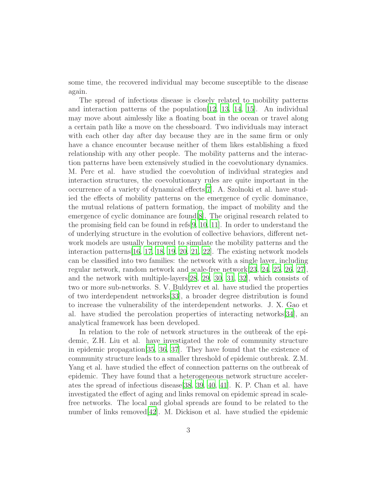some time, the recovered individual may become susceptible to the disease again.

The spread of infectious disease is closely related to mobility patterns and interaction patterns of the population[\[12,](#page-17-3) [13](#page-17-4), [14,](#page-17-5) [15](#page-18-0)]. An individual may move about aimlessly like a floating boat in the ocean or travel along a certain path like a move on the chessboard. Two individuals may interact with each other day after day because they are in the same firm or only have a chance encounter because neither of them likes establishing a fixed relationship with any other people. The mobility patterns and the interaction patterns have been extensively studied in the coevolutionary dynamics. M. Perc et al. have studied the coevolution of individual strategies and interaction structures, the coevolutionary rules are quite important in the occurrence of a variety of dynamical effects[\[7](#page-17-6)]. A. Szolnoki et al. have studied the effects of mobility patterns on the emergence of cyclic dominance, the mutual relations of pattern formation, the impact of mobility and the emergence of cyclic dominance are found[\[8\]](#page-17-7). The original research related to the promising field can be found in refs[\[9](#page-17-8), [10](#page-17-9), [11\]](#page-17-10). In order to understand the of underlying structure in the evolution of collective behaviors, different network models are usually borrowed to simulate the mobility patterns and the interaction patterns[\[16](#page-18-1), [17,](#page-18-2) [18,](#page-18-3) [19,](#page-18-4) [20,](#page-18-5) [21](#page-18-6), [22](#page-18-7)]. The existing network models can be classified into two families: the network with a single layer, including regular network, random network and scale-free network[\[23](#page-18-8), [24,](#page-18-9) [25,](#page-18-10) [26,](#page-18-11) [27\]](#page-19-0), and the network with multiple-layers[\[28](#page-19-1), [29](#page-19-2), [30](#page-19-3), [31](#page-19-4), [32](#page-19-5)], which consists of two or more sub-networks. S. V. Buldyrev et al. have studied the properties of two interdependent networks[\[33](#page-19-6)], a broader degree distribution is found to increase the vulnerability of the interdependent networks. J. X. Gao et al. have studied the percolation properties of interacting networks[\[34](#page-19-7)], an analytical framework has been developed.

In relation to the role of network structures in the outbreak of the epidemic, Z.H. Liu et al. have investigated the role of community structure in epidemic propagation[\[35](#page-19-8), [36,](#page-19-9) [37\]](#page-19-10). They have found that the existence of community structure leads to a smaller threshold of epidemic outbreak. Z.M. Yang et al. have studied the effect of connection patterns on the outbreak of epidemic. They have found that a heterogeneous network structure accelerates the spread of infectious disease[\[38](#page-19-11), [39,](#page-19-12) [40,](#page-20-0) [41\]](#page-20-1). K. P. Chan et al. have investigated the effect of aging and links removal on epidemic spread in scalefree networks. The local and global spreads are found to be related to the number of links removed[\[42](#page-20-2)]. M. Dickison et al. have studied the epidemic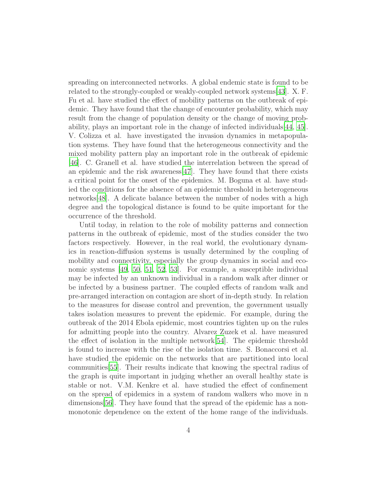spreading on interconnected networks. A global endemic state is found to be related to the strongly-coupled or weakly-coupled network systems[\[43\]](#page-20-3). X. F. Fu et al. have studied the effect of mobility patterns on the outbreak of epidemic. They have found that the change of encounter probability, which may result from the change of population density or the change of moving probability, plays an important role in the change of infected individuals[\[44,](#page-20-4) [45\]](#page-20-5). V. Colizza et al. have investigated the invasion dynamics in metapopulation systems. They have found that the heterogeneous connectivity and the mixed mobility pattern play an important role in the outbreak of epidemic [\[46\]](#page-20-6). C. Granell et al. have studied the interrelation between the spread of an epidemic and the risk awareness  $[47]$  $[47]$ . They have found that there exists a critical point for the onset of the epidemics. M. Boguna et al. have studied the conditions for the absence of an epidemic threshold in heterogeneous networks[\[48](#page-20-8)]. A delicate balance between the number of nodes with a high degree and the topological distance is found to be quite important for the occurrence of the threshold.

Until today, in relation to the role of mobility patterns and connection patterns in the outbreak of epidemic, most of the studies consider the two factors respectively. However, in the real world, the evolutionary dynamics in reaction-diffusion systems is usually determined by the coupling of mobility and connectivity, especially the group dynamics in social and economic systems [\[49,](#page-20-9) [50,](#page-20-10) [51,](#page-21-0) [52](#page-21-1), [53\]](#page-21-2). For example, a susceptible individual may be infected by an unknown individual in a random walk after dinner or be infected by a business partner. The coupled effects of random walk and pre-arranged interaction on contagion are short of in-depth study. In relation to the measures for disease control and prevention, the government usually takes isolation measures to prevent the epidemic. For example, during the outbreak of the 2014 Ebola epidemic, most countries tighten up on the rules for admitting people into the country. Alvarez Zuzek et al. have measured the effect of isolation in the multiple network[\[54](#page-21-3)]. The epidemic threshold is found to increase with the rise of the isolation time. S. Bonaccorsi et al. have studied the epidemic on the networks that are partitioned into local communities[\[55\]](#page-21-4). Their results indicate that knowing the spectral radius of the graph is quite important in judging whether an overall healthy state is stable or not. V.M. Kenkre et al. have studied the effect of confinement on the spread of epidemics in a system of random walkers who move in n dimensions[\[56\]](#page-21-5). They have found that the spread of the epidemic has a nonmonotonic dependence on the extent of the home range of the individuals.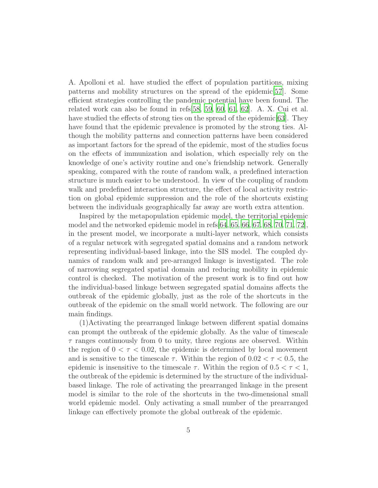A. Apolloni et al. have studied the effect of population partitions, mixing patterns and mobility structures on the spread of the epidemic[\[57](#page-21-6)]. Some efficient strategies controlling the pandemic potential have been found. The related work can also be found in refs[\[58,](#page-21-7) [59,](#page-21-8) [60](#page-21-9), [61,](#page-21-10) [62](#page-22-0)]. A. X. Cui et al. have studied the effects of strong ties on the spread of the epidemic [\[63](#page-22-1)]. They have found that the epidemic prevalence is promoted by the strong ties. Although the mobility patterns and connection patterns have been considered as important factors for the spread of the epidemic, most of the studies focus on the effects of immunization and isolation, which especially rely on the knowledge of one's activity routine and one's friendship network. Generally speaking, compared with the route of random walk, a predefined interaction structure is much easier to be understood. In view of the coupling of random walk and predefined interaction structure, the effect of local activity restriction on global epidemic suppression and the role of the shortcuts existing between the individuals geographically far away are worth extra attention.

Inspired by the metapopulation epidemic model, the territorial epidemic model and the networked epidemic model in refs[\[64,](#page-22-2) [65,](#page-22-3) [66,](#page-22-4) [67](#page-22-5), [68](#page-22-6), [70](#page-22-7), [71,](#page-22-8) [72\]](#page-22-9), in the present model, we incorporate a multi-layer network, which consists of a regular network with segregated spatial domains and a random network representing individual-based linkage, into the SIS model. The coupled dynamics of random walk and pre-arranged linkage is investigated. The role of narrowing segregated spatial domain and reducing mobility in epidemic control is checked. The motivation of the present work is to find out how the individual-based linkage between segregated spatial domains affects the outbreak of the epidemic globally, just as the role of the shortcuts in the outbreak of the epidemic on the small world network. The following are our main findings.

(1)Activating the prearranged linkage between different spatial domains can prompt the outbreak of the epidemic globally. As the value of timescale  $\tau$  ranges continuously from 0 to unity, three regions are observed. Within the region of  $0 < \tau < 0.02$ , the epidemic is determined by local movement and is sensitive to the timescale  $\tau$ . Within the region of  $0.02 < \tau < 0.5$ , the epidemic is insensitive to the timescale  $\tau$ . Within the region of  $0.5 < \tau < 1$ , the outbreak of the epidemic is determined by the structure of the individualbased linkage. The role of activating the prearranged linkage in the present model is similar to the role of the shortcuts in the two-dimensional small world epidemic model. Only activating a small number of the prearranged linkage can effectively promote the global outbreak of the epidemic.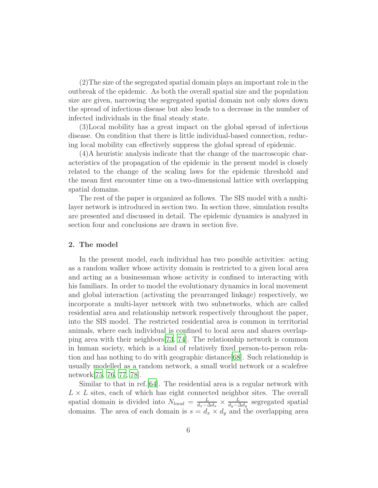(2)The size of the segregated spatial domain plays an important role in the outbreak of the epidemic. As both the overall spatial size and the population size are given, narrowing the segregated spatial domain not only slows down the spread of infectious disease but also leads to a decrease in the number of infected individuals in the final steady state.

(3)Local mobility has a great impact on the global spread of infectious disease. On condition that there is little individual-based connection, reducing local mobility can effectively suppress the global spread of epidemic.

(4)A heuristic analysis indicate that the change of the macroscopic characteristics of the propagation of the epidemic in the present model is closely related to the change of the scaling laws for the epidemic threshold and the mean first encounter time on a two-dimensional lattice with overlapping spatial domains.

The rest of the paper is organized as follows. The SIS model with a multilayer network is introduced in section two. In section three, simulation results are presented and discussed in detail. The epidemic dynamics is analyzed in section four and conclusions are drawn in section five.

### 2. The model

In the present model, each individual has two possible activities: acting as a random walker whose activity domain is restricted to a given local area and acting as a businessman whose activity is confined to interacting with his familiars. In order to model the evolutionary dynamics in local movement and global interaction (activating the prearranged linkage) respectively, we incorporate a multi-layer network with two subnetworks, which are called residential area and relationship network respectively throughout the paper, into the SIS model. The restricted residential area is common in territorial animals, where each individual is confined to local area and shares overlapping area with their neighbors[\[73](#page-22-10), [74\]](#page-23-0). The relationship network is common in human society, which is a kind of relatively fixed person-to-person relation and has nothing to do with geographic distance[\[68](#page-22-6)]. Such relationship is usually modelled as a random network, a small world network or a scalefree network[\[75](#page-23-1), [76](#page-23-2), [77](#page-23-3), [78](#page-23-4)].

Similar to that in ref.[\[64\]](#page-22-2). The residential area is a regular network with  $L \times L$  sites, each of which has eight connected neighbor sites. The overall spatial domain is divided into  $N_{local} = \frac{L}{d_x - \Delta d_x} \times \frac{L}{d_y - \Delta d_y}$  segregated spatial domains. The area of each domain is  $s = d_x \times d_y$  and the overlapping area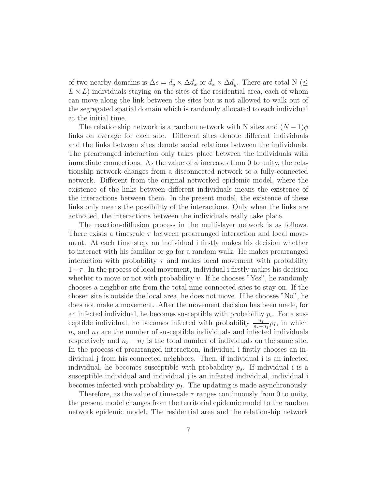of two nearby domains is  $\Delta s = d_y \times \Delta d_x$  or  $d_x \times \Delta d_y$ . There are total N ( $\leq$  $L \times L$ ) individuals staying on the sites of the residential area, each of whom can move along the link between the sites but is not allowed to walk out of the segregated spatial domain which is randomly allocated to each individual at the initial time.

The relationship network is a random network with N sites and  $(N-1)\phi$ links on average for each site. Different sites denote different individuals and the links between sites denote social relations between the individuals. The prearranged interaction only takes place between the individuals with immediate connections. As the value of  $\phi$  increases from 0 to unity, the relationship network changes from a disconnected network to a fully-connected network. Different from the original networked epidemic model, where the existence of the links between different individuals means the existence of the interactions between them. In the present model, the existence of these links only means the possibility of the interactions. Only when the links are activated, the interactions between the individuals really take place.

The reaction-diffusion process in the multi-layer network is as follows. There exists a timescale  $\tau$  between prearranged interaction and local movement. At each time step, an individual i firstly makes his decision whether to interact with his familiar or go for a random walk. He makes prearranged interaction with probability  $\tau$  and makes local movement with probability  $1-\tau$ . In the process of local movement, individual i firstly makes his decision whether to move or not with probability  $v$ . If he chooses "Yes", he randomly chooses a neighbor site from the total nine connected sites to stay on. If the chosen site is outside the local area, he does not move. If he chooses "No", he does not make a movement. After the movement decision has been made, for an infected individual, he becomes susceptible with probability  $p_s$ . For a susceptible individual, he becomes infected with probability  $\frac{n_I}{n_S+n_I}p_I$ , in which  $n<sub>s</sub>$  and  $n<sub>I</sub>$  are the number of susceptible individuals and infected individuals respectively and  $n_s + n_I$  is the total number of individuals on the same site. In the process of prearranged interaction, individual i firstly chooses an individual j from his connected neighbors. Then, if individual i is an infected individual, he becomes susceptible with probability  $p_s$ . If individual i is a susceptible individual and individual j is an infected individual, individual i becomes infected with probability  $p_I$ . The updating is made asynchronously.

Therefore, as the value of timescale  $\tau$  ranges continuously from 0 to unity, the present model changes from the territorial epidemic model to the random network epidemic model. The residential area and the relationship network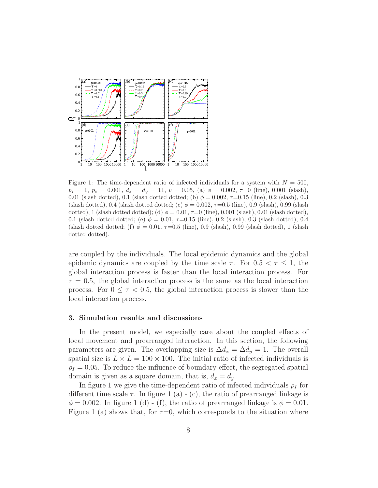

Figure 1: The time-dependent ratio of infected individuals for a system with  $N = 500$ ,  $p_1 = 1, p_s = 0.001, d_x = d_y = 11, v = 0.05, (a) \phi = 0.002, \tau = 0$  (line), 0.001 (slash), 0.01 (slash dotted), 0.1 (slash dotted dotted; (b)  $\phi = 0.002$ ,  $\tau = 0.15$  (line), 0.2 (slash), 0.3 (slash dotted), 0.4 (slash dotted dotted; (c)  $\phi = 0.002$ ,  $\tau = 0.5$  (line), 0.9 (slash), 0.99 (slash) dotted), 1 (slash dotted dotted); (d)  $\phi = 0.01$ ,  $\tau = 0$  (line), 0.001 (slash), 0.01 (slash dotted), 0.1 (slash dotted dotted; (e)  $\phi = 0.01$ ,  $\tau = 0.15$  (line), 0.2 (slash), 0.3 (slash dotted), 0.4 (slash dotted dotted; (f)  $\phi = 0.01$ ,  $\tau = 0.5$  (line), 0.9 (slash), 0.99 (slash dotted), 1 (slash) dotted).

are coupled by the individuals. The local epidemic dynamics and the global epidemic dynamics are coupled by the time scale  $\tau$ . For  $0.5 < \tau < 1$ , the global interaction process is faster than the local interaction process. For  $\tau = 0.5$ , the global interaction process is the same as the local interaction process. For  $0 \leq \tau < 0.5$ , the global interaction process is slower than the local interaction process.

### 3. Simulation results and discussions

In the present model, we especially care about the coupled effects of local movement and prearranged interaction. In this section, the following parameters are given. The overlapping size is  $\Delta d_x = \Delta d_y = 1$ . The overall spatial size is  $L \times L = 100 \times 100$ . The initial ratio of infected individuals is  $\rho_I = 0.05$ . To reduce the influence of boundary effect, the segregated spatial domain is given as a square domain, that is,  $d_x = d_y$ .

In figure 1 we give the time-dependent ratio of infected individuals  $\rho_I$  for different time scale  $\tau$ . In figure 1 (a) - (c), the ratio of prearranged linkage is  $\phi = 0.002$ . In figure 1 (d) - (f), the ratio of prearranged linkage is  $\phi = 0.01$ . Figure 1 (a) shows that, for  $\tau=0$ , which corresponds to the situation where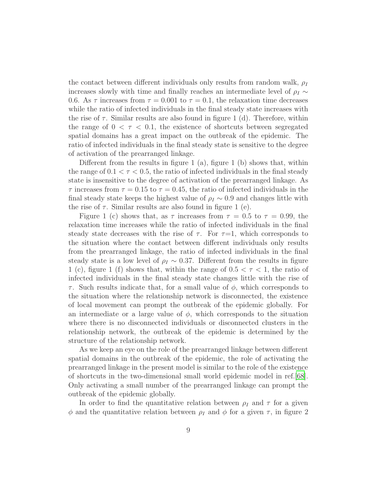the contact between different individuals only results from random walk,  $\rho_I$ increases slowly with time and finally reaches an intermediate level of  $\rho_I \sim$ 0.6. As  $\tau$  increases from  $\tau = 0.001$  to  $\tau = 0.1$ , the relaxation time decreases while the ratio of infected individuals in the final steady state increases with the rise of  $\tau$ . Similar results are also found in figure 1 (d). Therefore, within the range of  $0 < \tau < 0.1$ , the existence of shortcuts between segregated spatial domains has a great impact on the outbreak of the epidemic. The ratio of infected individuals in the final steady state is sensitive to the degree of activation of the prearranged linkage.

Different from the results in figure 1 (a), figure 1 (b) shows that, within the range of  $0.1 < \tau < 0.5$ , the ratio of infected individuals in the final steady state is insensitive to the degree of activation of the prearranged linkage. As  $\tau$  increases from  $\tau = 0.15$  to  $\tau = 0.45$ , the ratio of infected individuals in the final steady state keeps the highest value of  $\rho_I \sim 0.9$  and changes little with the rise of  $\tau$ . Similar results are also found in figure 1 (e).

Figure 1 (c) shows that, as  $\tau$  increases from  $\tau = 0.5$  to  $\tau = 0.99$ , the relaxation time increases while the ratio of infected individuals in the final steady state decreases with the rise of  $\tau$ . For  $\tau=1$ , which corresponds to the situation where the contact between different individuals only results from the prearranged linkage, the ratio of infected individuals in the final steady state is a low level of  $\rho_I \sim 0.37$ . Different from the results in figure 1 (c), figure 1 (f) shows that, within the range of  $0.5 < \tau < 1$ , the ratio of infected individuals in the final steady state changes little with the rise of  $\tau$ . Such results indicate that, for a small value of  $\phi$ , which corresponds to the situation where the relationship network is disconnected, the existence of local movement can prompt the outbreak of the epidemic globally. For an intermediate or a large value of  $\phi$ , which corresponds to the situation where there is no disconnected individuals or disconnected clusters in the relationship network, the outbreak of the epidemic is determined by the structure of the relationship network.

As we keep an eye on the role of the prearranged linkage between different spatial domains in the outbreak of the epidemic, the role of activating the prearranged linkage in the present model is similar to the role of the existence of shortcuts in the two-dimensional small world epidemic model in ref.[\[68\]](#page-22-6). Only activating a small number of the prearranged linkage can prompt the outbreak of the epidemic globally.

In order to find the quantitative relation between  $\rho_I$  and  $\tau$  for a given  $\phi$  and the quantitative relation between  $\rho_I$  and  $\phi$  for a given  $\tau$ , in figure 2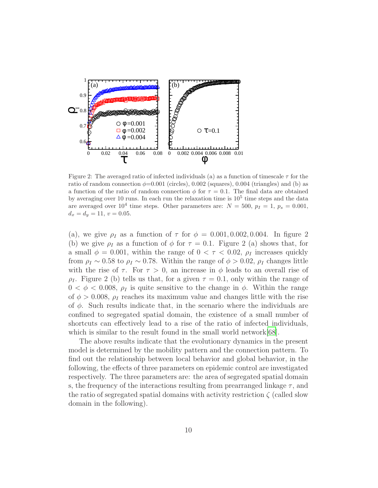

Figure 2: The averaged ratio of infected individuals (a) as a function of timescale  $\tau$  for the ratio of random connection  $\phi=0.001$  (circles), 0.002 (squares), 0.004 (triangles) and (b) as a function of the ratio of random connection  $\phi$  for  $\tau = 0.1$ . The final data are obtained by averaging over 10 runs. In each run the relaxation time is  $10<sup>5</sup>$  time steps and the data are averaged over  $10^4$  time steps. Other parameters are:  $N = 500$ ,  $p_I = 1$ ,  $p_s = 0.001$ ,  $d_x = d_y = 11, v = 0.05.$ 

(a), we give  $\rho_I$  as a function of  $\tau$  for  $\phi = 0.001, 0.002, 0.004$ . In figure 2 (b) we give  $\rho_I$  as a function of  $\phi$  for  $\tau = 0.1$ . Figure 2 (a) shows that, for a small  $\phi = 0.001$ , within the range of  $0 < \tau < 0.02$ ,  $\rho_I$  increases quickly from  $\rho_I \sim 0.58$  to  $\rho_I \sim 0.78$ . Within the range of  $\phi > 0.02$ ,  $\rho_I$  changes little with the rise of  $\tau$ . For  $\tau > 0$ , an increase in  $\phi$  leads to an overall rise of  $\rho_I$ . Figure 2 (b) tells us that, for a given  $\tau = 0.1$ , only within the range of  $0 < \phi < 0.008$ ,  $\rho_I$  is quite sensitive to the change in  $\phi$ . Within the range of  $\phi > 0.008$ ,  $\rho_I$  reaches its maximum value and changes little with the rise of  $\phi$ . Such results indicate that, in the scenario where the individuals are confined to segregated spatial domain, the existence of a small number of shortcuts can effectively lead to a rise of the ratio of infected individuals, which is similar to the result found in the small world network [\[68\]](#page-22-6).

The above results indicate that the evolutionary dynamics in the present model is determined by the mobility pattern and the connection pattern. To find out the relationship between local behavior and global behavior, in the following, the effects of three parameters on epidemic control are investigated respectively. The three parameters are: the area of segregated spatial domain s, the frequency of the interactions resulting from prearranged linkage  $\tau$ , and the ratio of segregated spatial domains with activity restriction  $\zeta$  (called slow domain in the following).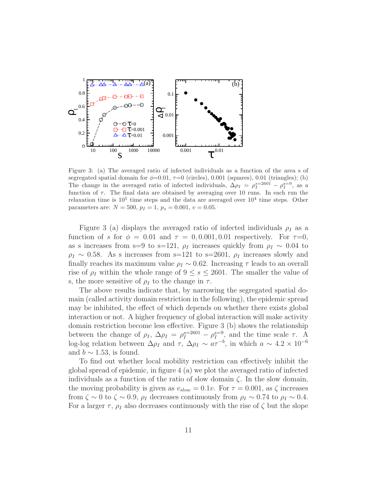

Figure 3: (a) The averaged ratio of infected individuals as a function of the area s of segregated spatial domain for  $\phi=0.01$ ,  $\tau=0$  (circles), 0.001 (squares), 0.01 (triangles); (b) The change in the averaged ratio of infected individuals,  $\Delta \rho_I = \rho_I^{s=2601} - \rho_I^{s=9}$ , as a function of  $\tau$ . The final data are obtained by averaging over 10 runs. In each run the relaxation time is  $10^5$  time steps and the data are averaged over  $10^4$  time steps. Other parameters are:  $N = 500$ ,  $p_I = 1$ ,  $p_s = 0.001$ ,  $v = 0.05$ .

Figure 3 (a) displays the averaged ratio of infected individuals  $\rho_I$  as a function of s for  $\phi = 0.01$  and  $\tau = 0, 0.001, 0.01$  respectively. For  $\tau = 0$ , as s increases from s=9 to s=121,  $\rho_I$  increases quickly from  $\rho_I \sim 0.04$  to  $\rho_I \sim 0.58$ . As s increases from s=121 to s=2601,  $\rho_I$  increases slowly and finally reaches its maximum value  $\rho_I \sim 0.62$ . Increasing  $\tau$  leads to an overall rise of  $\rho_I$  within the whole range of  $9 \leq s \leq 2601$ . The smaller the value of s, the more sensitive of  $\rho_I$  to the change in  $\tau$ .

The above results indicate that, by narrowing the segregated spatial domain (called activity domain restriction in the following), the epidemic spread may be inhibited, the effect of which depends on whether there exists global interaction or not. A higher frequency of global interaction will make activity domain restriction become less effective. Figure 3 (b) shows the relationship between the change of  $\rho_I$ ,  $\Delta \rho_I = \rho_I^{s=2601} - \rho_I^{s=9}$ , and the time scale  $\tau$ . A log-log relation between  $\Delta \rho_I$  and  $\tau$ ,  $\Delta \rho_I \sim a\tau^{-b}$ , in which  $a \sim 4.2 \times 10^{-6}$ and  $b \sim 1.53$ , is found.

To find out whether local mobility restriction can effectively inhibit the global spread of epidemic, in figure 4 (a) we plot the averaged ratio of infected individuals as a function of the ratio of slow domain  $\zeta$ . In the slow domain, the moving probability is given as  $v_{slow} = 0.1v$ . For  $\tau = 0.001$ , as  $\zeta$  increases from  $\zeta \sim 0$  to  $\zeta \sim 0.9$ ,  $\rho_I$  decreases continuously from  $\rho_I \sim 0.74$  to  $\rho_I \sim 0.4$ . For a larger  $\tau$ ,  $\rho_I$  also decreases continuously with the rise of  $\zeta$  but the slope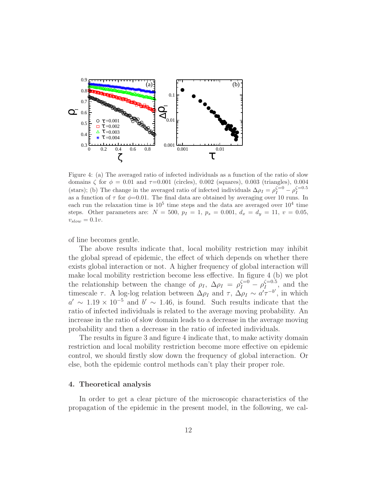

Figure 4: (a) The averaged ratio of infected individuals as a function of the ratio of slow domains  $\zeta$  for  $\phi = 0.01$  and  $\tau = 0.001$  (circles), 0.002 (squares), 0.003 (triangles), 0.004 (stars); (b) The change in the averaged ratio of infected individuals  $\Delta \rho_I = \rho_I^{\zeta=0} - \rho_I^{\zeta=0.5}$ as a function of  $\tau$  for  $\phi=0.01$ . The final data are obtained by averaging over 10 runs. In each run the relaxation time is  $10^5$  time steps and the data are averaged over  $10^4$  time steps. Other parameters are:  $N = 500$ ,  $p_I = 1$ ,  $p_s = 0.001$ ,  $d_x = d_y = 11$ ,  $v = 0.05$ ,  $v_{slow} = 0.1v.$ 

of line becomes gentle.

The above results indicate that, local mobility restriction may inhibit the global spread of epidemic, the effect of which depends on whether there exists global interaction or not. A higher frequency of global interaction will make local mobility restriction become less effective. In figure 4 (b) we plot the relationship between the change of  $\rho_I$ ,  $\Delta \rho_I = \rho_I^{\zeta=0} - \rho_I^{\zeta=0.5}$  $\sum_{l}^{Q=0.5}$ , and the timescale  $\tau$ . A log-log relation between  $\Delta \rho_I$  and  $\tau$ ,  $\Delta \rho_I \sim a' \tau^{-b'}$ , in which  $a' \sim 1.19 \times 10^{-5}$  and  $b' \sim 1.46$ , is found. Such results indicate that the ratio of infected individuals is related to the average moving probability. An increase in the ratio of slow domain leads to a decrease in the average moving probability and then a decrease in the ratio of infected individuals.

The results in figure 3 and figure 4 indicate that, to make activity domain restriction and local mobility restriction become more effective on epidemic control, we should firstly slow down the frequency of global interaction. Or else, both the epidemic control methods can't play their proper role.

### 4. Theoretical analysis

In order to get a clear picture of the microscopic characteristics of the propagation of the epidemic in the present model, in the following, we cal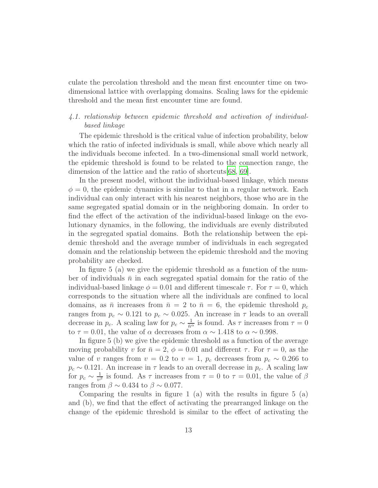culate the percolation threshold and the mean first encounter time on twodimensional lattice with overlapping domains. Scaling laws for the epidemic threshold and the mean first encounter time are found.

# 4.1. relationship between epidemic threshold and activation of individualbased linkage

The epidemic threshold is the critical value of infection probability, below which the ratio of infected individuals is small, while above which nearly all the individuals become infected. In a two-dimensional small world network, the epidemic threshold is found to be related to the connection range, the dimension of the lattice and the ratio of shortcuts[\[68](#page-22-6), [69\]](#page-22-11).

In the present model, without the individual-based linkage, which means  $\phi = 0$ , the epidemic dynamics is similar to that in a regular network. Each individual can only interact with his nearest neighbors, those who are in the same segregated spatial domain or in the neighboring domain. In order to find the effect of the activation of the individual-based linkage on the evolutionary dynamics, in the following, the individuals are evenly distributed in the segregated spatial domains. Both the relationship between the epidemic threshold and the average number of individuals in each segregated domain and the relationship between the epidemic threshold and the moving probability are checked.

In figure 5 (a) we give the epidemic threshold as a function of the number of individuals  $\bar{n}$  in each segregated spatial domain for the ratio of the individual-based linkage  $\phi = 0.01$  and different timescale  $\tau$ . For  $\tau = 0$ , which corresponds to the situation where all the individuals are confined to local domains, as  $\bar{n}$  increases from  $\bar{n} = 2$  to  $\bar{n} = 6$ , the epidemic threshold  $p_c$ ranges from  $p_c \sim 0.121$  to  $p_c \sim 0.025$ . An increase in  $\tau$  leads to an overall decrease in  $p_c$ . A scaling law for  $p_c \sim \frac{1}{n^{\alpha}}$  is found. As  $\tau$  increases from  $\tau = 0$ to  $\tau = 0.01$ , the value of  $\alpha$  decreases from  $\alpha \sim 1.418$  to  $\alpha \sim 0.998$ .

In figure 5 (b) we give the epidemic threshold as a function of the average moving probability v for  $\bar{n} = 2$ ,  $\phi = 0.01$  and different  $\tau$ . For  $\tau = 0$ , as the value of v ranges from  $v = 0.2$  to  $v = 1$ ,  $p_c$  decreases from  $p_c \sim 0.266$  to  $p_c \sim 0.121$ . An increase in  $\tau$  leads to an overall decrease in  $p_c$ . A scaling law for  $p_c \sim \frac{1}{v^{\beta}}$  $\frac{1}{v^{\beta}}$  is found. As  $\tau$  increases from  $\tau = 0$  to  $\tau = 0.01$ , the value of  $\beta$ ranges from  $\beta \sim 0.434$  to  $\beta \sim 0.077$ .

Comparing the results in figure 1 (a) with the results in figure 5 (a) and (b), we find that the effect of activating the prearranged linkage on the change of the epidemic threshold is similar to the effect of activating the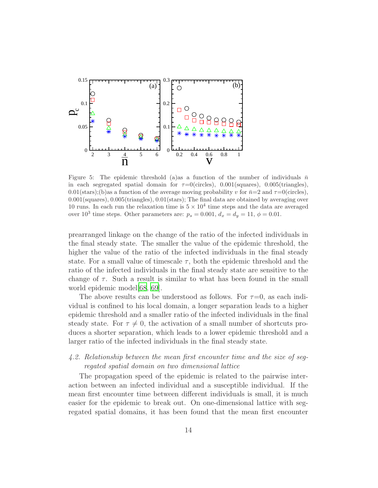

Figure 5: The epidemic threshold (a)as a function of the number of individuals  $\bar{n}$ in each segregated spatial domain for  $\tau=0$ (circles), 0.001(squares), 0.005(triangles), 0.01(stars);(b)as a function of the average moving probability v for  $\bar{n}=2$  and  $\tau=0$ (circles), 0.001(squares), 0.005(triangles), 0.01(stars); The final data are obtained by averaging over 10 runs. In each run the relaxation time is  $5 \times 10^4$  time steps and the data are averaged over 10<sup>3</sup> time steps. Other parameters are:  $p_s = 0.001, d_x = d_y = 11, \phi = 0.01$ .

prearranged linkage on the change of the ratio of the infected individuals in the final steady state. The smaller the value of the epidemic threshold, the higher the value of the ratio of the infected individuals in the final steady state. For a small value of timescale  $\tau$ , both the epidemic threshold and the ratio of the infected individuals in the final steady state are sensitive to the change of  $\tau$ . Such a result is similar to what has been found in the small world epidemic model[\[68,](#page-22-6) [69\]](#page-22-11).

The above results can be understood as follows. For  $\tau=0$ , as each individual is confined to his local domain, a longer separation leads to a higher epidemic threshold and a smaller ratio of the infected individuals in the final steady state. For  $\tau \neq 0$ , the activation of a small number of shortcuts produces a shorter separation, which leads to a lower epidemic threshold and a larger ratio of the infected individuals in the final steady state.

# 4.2. Relationship between the mean first encounter time and the size of segregated spatial domain on two dimensional lattice

The propagation speed of the epidemic is related to the pairwise interaction between an infected individual and a susceptible individual. If the mean first encounter time between different individuals is small, it is much easier for the epidemic to break out. On one-dimensional lattice with segregated spatial domains, it has been found that the mean first encounter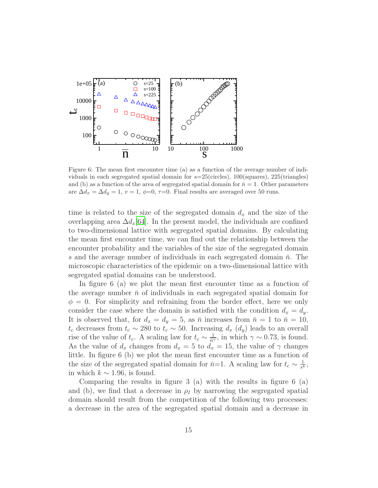

Figure 6: The mean first encounter time (a) as a function of the average number of individuals in each segregated spatial domain for  $s=25$  (circles), 100 (squares), 225 (triangles) and (b) as a function of the area of segregated spatial domain for  $\bar{n} = 1$ . Other parameters are  $\Delta d_x = \Delta d_y = 1$ ,  $v = 1$ ,  $\phi = 0$ ,  $\tau = 0$ . Final results are averaged over 50 runs.

time is related to the size of the segregated domain  $d_x$  and the size of the overlapping area  $\Delta d_x[64]$  $\Delta d_x[64]$ . In the present model, the individuals are confined to two-dimensional lattice with segregated spatial domains. By calculating the mean first encounter time, we can find out the relationship between the encounter probability and the variables of the size of the segregated domain s and the average number of individuals in each segregated domain  $\bar{n}$ . The microscopic characteristics of the epidemic on a two-dimensional lattice with segregated spatial domains can be understood.

In figure 6 (a) we plot the mean first encounter time as a function of the average number  $\bar{n}$  of individuals in each segregated spatial domain for  $\phi = 0$ . For simplicity and refraining from the border effect, here we only consider the case where the domain is satisfied with the condition  $d_x = d_y$ . It is observed that, for  $d_x = d_y = 5$ , as  $\bar{n}$  increases from  $\bar{n} = 1$  to  $\bar{n} = 10$ ,  $t_c$  decreases from  $t_c \sim 280$  to  $t_c \sim 50$ . Increasing  $d_x$   $(d_y)$  leads to an overall rise of the value of  $t_c$ . A scaling law for  $t_c \sim \frac{1}{\bar{n}c}$  $\frac{1}{\bar{n}^{\gamma}}$ , in which  $\gamma \sim 0.73$ , is found. As the value of  $d_x$  changes from  $d_x = 5$  to  $\ddot{d}_x = 15$ , the value of  $\gamma$  changes little. In figure 6 (b) we plot the mean first encounter time as a function of the size of the segregated spatial domain for  $\bar{n}=1$ . A scaling law for  $t_c \sim \frac{1}{s^k}$  $\frac{1}{s^k}$ in which  $k \sim 1.96$ , is found.

Comparing the results in figure 3 (a) with the results in figure 6 (a) and (b), we find that a decrease in  $\rho_I$  by narrowing the segregated spatial domain should result from the competition of the following two processes: a decrease in the area of the segregated spatial domain and a decrease in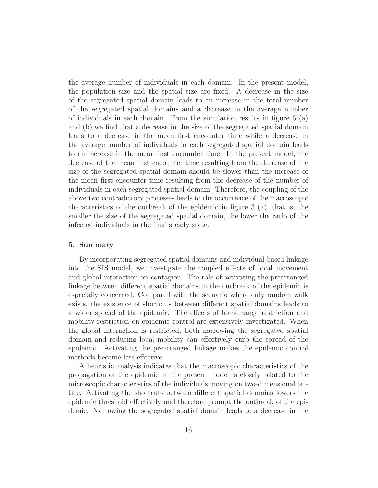the average number of individuals in each domain. In the present model, the population size and the spatial size are fixed. A decrease in the size of the segregated spatial domain leads to an increase in the total number of the segregated spatial domains and a decrease in the average number of individuals in each domain. From the simulation results in figure 6 (a) and (b) we find that a decrease in the size of the segregated spatial domain leads to a decrease in the mean first encounter time while a decrease in the average number of individuals in each segregated spatial domain leads to an increase in the mean first encounter time. In the present model, the decrease of the mean first encounter time resulting from the decrease of the size of the segregated spatial domain should be slower than the increase of the mean first encounter time resulting from the decrease of the number of individuals in each segregated spatial domain. Therefore, the coupling of the above two contradictory processes leads to the occurrence of the macroscopic characteristics of the outbreak of the epidemic in figure 3 (a), that is, the smaller the size of the segregated spatial domain, the lower the ratio of the infected individuals in the final steady state.

### 5. Summary

By incorporating segregated spatial domains and individual-based linkage into the SIS model, we investigate the coupled effects of local movement and global interaction on contagion. The role of activating the prearranged linkage between different spatial domains in the outbreak of the epidemic is especially concerned. Compared with the scenario where only random walk exists, the existence of shortcuts between different spatial domains leads to a wider spread of the epidemic. The effects of home range restriction and mobility restriction on epidemic control are extensively investigated. When the global interaction is restricted, both narrowing the segregated spatial domain and reducing local mobility can effectively curb the spread of the epidemic. Activating the prearranged linkage makes the epidemic control methods become less effective.

A heuristic analysis indicates that the macroscopic characteristics of the propagation of the epidemic in the present model is closely related to the microscopic characteristics of the individuals moving on two-dimensional lattice. Activating the shortcuts between different spatial domains lowers the epidemic threshold effectively and therefore prompt the outbreak of the epidemic. Narrowing the segregated spatial domain leads to a decrease in the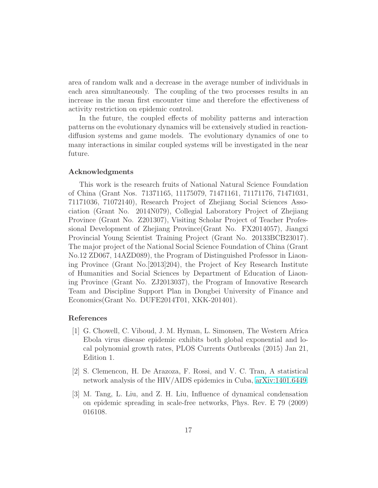area of random walk and a decrease in the average number of individuals in each area simultaneously. The coupling of the two processes results in an increase in the mean first encounter time and therefore the effectiveness of activity restriction on epidemic control.

In the future, the coupled effects of mobility patterns and interaction patterns on the evolutionary dynamics will be extensively studied in reactiondiffusion systems and game models. The evolutionary dynamics of one to many interactions in similar coupled systems will be investigated in the near future.

# Acknowledgments

This work is the research fruits of National Natural Science Foundation of China (Grant Nos. 71371165, 11175079, 71471161, 71171176, 71471031, 71171036, 71072140), Research Project of Zhejiang Social Sciences Association (Grant No. 2014N079), Collegial Laboratory Project of Zhejiang Province (Grant No. Z201307), Visiting Scholar Project of Teacher Professional Development of Zhejiang Province(Grant No. FX2014057), Jiangxi Provincial Young Scientist Training Project (Grant No. 20133BCB23017). The major project of the National Social Science Foundation of China (Grant No.12 ZD067, 14AZD089), the Program of Distinguished Professor in Liaoning Province (Grant No.[2013]204), the Project of Key Research Institute of Humanities and Social Sciences by Department of Education of Liaoning Province (Grant No. ZJ2013037), the Program of Innovative Research Team and Discipline Support Plan in Dongbei University of Finance and Economics(Grant No. DUFE2014T01, XKK-201401).

## References

- <span id="page-16-0"></span>[1] G. Chowell, C. Viboud, J. M. Hyman, L. Simonsen, The Western Africa Ebola virus disease epidemic exhibits both global exponential and local polynomial growth rates, PLOS Currents Outbreaks (2015) Jan 21, Edition 1.
- <span id="page-16-1"></span>[2] S. Clemencon, H. De Arazoza, F. Rossi, and V. C. Tran, A statistical network analysis of the HIV/AIDS epidemics in Cuba, [arXiv:1401.6449.](http://arxiv.org/abs/1401.6449)
- <span id="page-16-2"></span>[3] M. Tang, L. Liu, and Z. H. Liu, Influence of dynamical condensation on epidemic spreading in scale-free networks, Phys. Rev. E 79 (2009) 016108.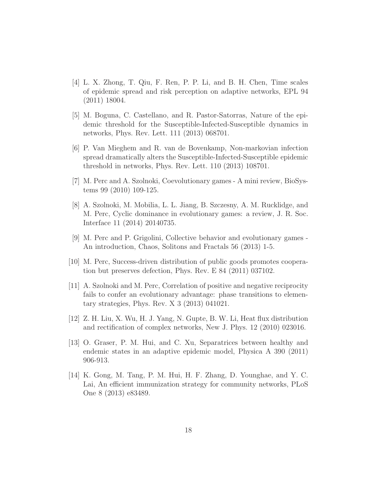- <span id="page-17-0"></span>[4] L. X. Zhong, T. Qiu, F. Ren, P. P. Li, and B. H. Chen, Time scales of epidemic spread and risk perception on adaptive networks, EPL 94 (2011) 18004.
- <span id="page-17-1"></span>[5] M. Boguna, C. Castellano, and R. Pastor-Satorras, Nature of the epidemic threshold for the Susceptible-Infected-Susceptible dynamics in networks, Phys. Rev. Lett. 111 (2013) 068701.
- <span id="page-17-2"></span>[6] P. Van Mieghem and R. van de Bovenkamp, Non-markovian infection spread dramatically alters the Susceptible-Infected-Susceptible epidemic threshold in networks, Phys. Rev. Lett. 110 (2013) 108701.
- <span id="page-17-6"></span>[7] M. Perc and A. Szolnoki, Coevolutionary games - A mini review, BioSystems 99 (2010) 109-125.
- <span id="page-17-7"></span>[8] A. Szolnoki, M. Mobilia, L. L. Jiang, B. Szczesny, A. M. Rucklidge, and M. Perc, Cyclic dominance in evolutionary games: a review, J. R. Soc. Interface 11 (2014) 20140735.
- <span id="page-17-8"></span>[9] M. Perc and P. Grigolini, Collective behavior and evolutionary games - An introduction, Chaos, Solitons and Fractals 56 (2013) 1-5.
- <span id="page-17-9"></span>[10] M. Perc, Success-driven distribution of public goods promotes cooperation but preserves defection, Phys. Rev. E 84 (2011) 037102.
- <span id="page-17-10"></span>[11] A. Szolnoki and M. Perc, Correlation of positive and negative reciprocity fails to confer an evolutionary advantage: phase transitions to elementary strategies, Phys. Rev. X 3 (2013) 041021.
- <span id="page-17-3"></span>[12] Z. H. Liu, X. Wu, H. J. Yang, N. Gupte, B. W. Li, Heat flux distribution and rectification of complex networks, New J. Phys. 12 (2010) 023016.
- <span id="page-17-4"></span>[13] O. Graser, P. M. Hui, and C. Xu, Separatrices between healthy and endemic states in an adaptive epidemic model, Physica A 390 (2011) 906-913.
- <span id="page-17-5"></span>[14] K. Gong, M. Tang, P. M. Hui, H. F. Zhang, D. Younghae, and Y. C. Lai, An efficient immunization strategy for community networks, PLoS One 8 (2013) e83489.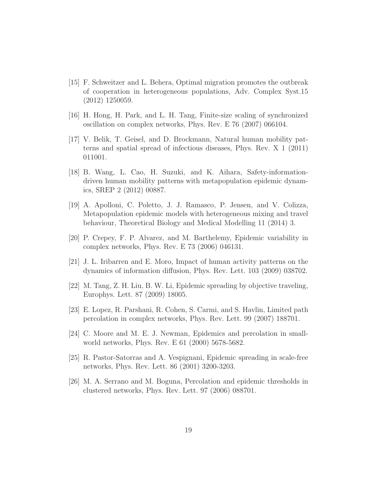- <span id="page-18-0"></span>[15] F. Schweitzer and L. Behera, Optimal migration promotes the outbreak of cooperation in heterogeneous populations, Adv. Complex Syst.15 (2012) 1250059.
- <span id="page-18-1"></span>[16] H. Hong, H. Park, and L. H. Tang, Finite-size scaling of synchronized oscillation on complex networks, Phys. Rev. E 76 (2007) 066104.
- <span id="page-18-2"></span>[17] V. Belik, T. Geisel, and D. Brockmann, Natural human mobility patterns and spatial spread of infectious diseases, Phys. Rev. X 1 (2011) 011001.
- <span id="page-18-3"></span>[18] B. Wang, L. Cao, H. Suzuki, and K. Aihara, Safety-informationdriven human mobility patterns with metapopulation epidemic dynamics, SREP 2 (2012) 00887.
- <span id="page-18-4"></span>[19] A. Apolloni, C. Poletto, J. J. Ramasco, P. Jensen, and V. Colizza, Metapopulation epidemic models with heterogeneous mixing and travel behaviour, Theoretical Biology and Medical Modelling 11 (2014) 3.
- <span id="page-18-5"></span>[20] P. Crepey, F. P. Alvarez, and M. Barthelemy, Epidemic variability in complex networks, Phys. Rev. E 73 (2006) 046131.
- <span id="page-18-6"></span>[21] J. L. Iribarren and E. Moro, Impact of human activity patterns on the dynamics of information diffusion, Phys. Rev. Lett. 103 (2009) 038702.
- <span id="page-18-7"></span>[22] M. Tang, Z. H. Liu, B. W. Li, Epidemic spreading by objective traveling, Europhys. Lett. 87 (2009) 18005.
- <span id="page-18-8"></span>[23] E. Lopez, R. Parshani, R. Cohen, S. Carmi, and S. Havlin, Limited path percolation in complex networks, Phys. Rev. Lett. 99 (2007) 188701.
- <span id="page-18-9"></span>[24] C. Moore and M. E. J. Newman, Epidemics and percolation in smallworld networks, Phys. Rev. E 61 (2000) 5678-5682.
- <span id="page-18-10"></span>[25] R. Pastor-Satorras and A. Vespignani, Epidemic spreading in scale-free networks, Phys. Rev. Lett. 86 (2001) 3200-3203.
- <span id="page-18-11"></span>[26] M. A. Serrano and M. Boguna, Percolation and epidemic thresholds in clustered networks, Phys. Rev. Lett. 97 (2006) 088701.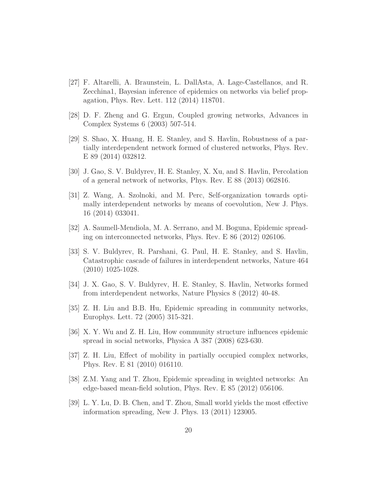- <span id="page-19-0"></span>[27] F. Altarelli, A. Braunstein, L. DallAsta, A. Lage-Castellanos, and R. Zecchina1, Bayesian inference of epidemics on networks via belief propagation, Phys. Rev. Lett. 112 (2014) 118701.
- <span id="page-19-1"></span>[28] D. F. Zheng and G. Ergun, Coupled growing networks, Advances in Complex Systems 6 (2003) 507-514.
- <span id="page-19-2"></span>[29] S. Shao, X. Huang, H. E. Stanley, and S. Havlin, Robustness of a partially interdependent network formed of clustered networks, Phys. Rev. E 89 (2014) 032812.
- <span id="page-19-3"></span>[30] J. Gao, S. V. Buldyrev, H. E. Stanley, X. Xu, and S. Havlin, Percolation of a general network of networks, Phys. Rev. E 88 (2013) 062816.
- <span id="page-19-4"></span>[31] Z. Wang, A. Szolnoki, and M. Perc, Self-organization towards optimally interdependent networks by means of coevolution, New J. Phys. 16 (2014) 033041.
- <span id="page-19-5"></span>[32] A. Saumell-Mendiola, M. A. Serrano, and M. Boguna, Epidemic spreading on interconnected networks, Phys. Rev. E 86 (2012) 026106.
- <span id="page-19-6"></span>[33] S. V. Buldyrev, R. Parshani, G. Paul, H. E. Stanley, and S. Havlin, Catastrophic cascade of failures in interdependent networks, Nature 464 (2010) 1025-1028.
- <span id="page-19-7"></span>[34] J. X. Gao, S. V. Buldyrev, H. E. Stanley, S. Havlin, Networks formed from interdependent networks, Nature Physics 8 (2012) 40-48.
- <span id="page-19-8"></span>[35] Z. H. Liu and B.B. Hu, Epidemic spreading in community networks, Europhys. Lett. 72 (2005) 315-321.
- <span id="page-19-9"></span>[36] X. Y. Wu and Z. H. Liu, How community structure influences epidemic spread in social networks, Physica A 387 (2008) 623-630.
- <span id="page-19-10"></span>[37] Z. H. Liu, Effect of mobility in partially occupied complex networks, Phys. Rev. E 81 (2010) 016110.
- <span id="page-19-11"></span>[38] Z.M. Yang and T. Zhou, Epidemic spreading in weighted networks: An edge-based mean-field solution, Phys. Rev. E 85 (2012) 056106.
- <span id="page-19-12"></span>[39] L. Y. Lu, D. B. Chen, and T. Zhou, Small world yields the most effective information spreading, New J. Phys. 13 (2011) 123005.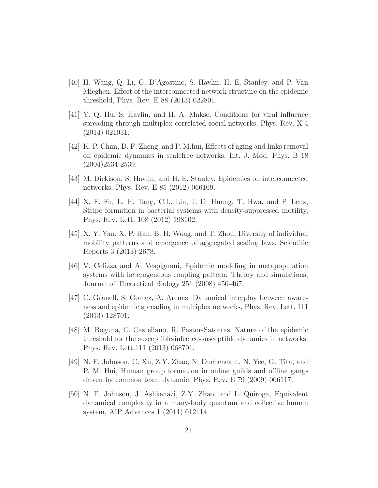- <span id="page-20-0"></span>[40] H. Wang, Q. Li, G. D'Agostino, S. Havlin, H. E. Stanley, and P. Van Mieghen, Effect of the interconnected network structure on the epidemic threshold, Phys. Rev. E 88 (2013) 022801.
- <span id="page-20-1"></span>[41] Y. Q. Hu, S. Havlin, and H. A. Makse, Conditions for viral influence spreading through multiplex correlated social networks, Phys. Rev. X 4 (2014) 021031.
- <span id="page-20-2"></span>[42] K. P. Chan, D. F. Zheng, and P. M.hui, Effects of aging and links removal on epidemic dynamics in scalefree networks, Int. J. Mod. Phys. B 18 (2004)2534-2539.
- <span id="page-20-3"></span>[43] M. Dickison, S. Havlin, and H. E. Stanley, Epidemics on interconnected networks, Phys. Rev. E 85 (2012) 066109.
- <span id="page-20-4"></span>[44] X. F. Fu, L. H. Tang, C.L. Liu, J. D. Huang, T. Hwa, and P. Lenz, Stripe formation in bacterial systems with density-suppressed motility, Phys. Rev. Lett. 108 (2012) 198102.
- <span id="page-20-5"></span>[45] X. Y. Yan, X. P. Han, B. H. Wang, and T. Zhou, Diversity of individual mobility patterns and emergence of aggregated scaling laws, Scientific Reports 3 (2013) 2678.
- <span id="page-20-6"></span>[46] V. Colizza and A. Vespignani, Epidemic modeling in metapopulation systems with heterogeneous coupling pattern: Theory and simulations, Journal of Theoretical Biology 251 (2008) 450-467.
- <span id="page-20-7"></span>[47] C. Granell, S. Gomez, A. Arenas, Dynamical interplay between awareness and epidemic spreading in multiplex networks, Phys. Rev. Lett. 111 (2013) 128701.
- <span id="page-20-8"></span>[48] M. Boguna, C. Castellano, R. Pastor-Satorras, Nature of the epidemic threshold for the susceptible-infected-susceptible dynamics in networks, Phys. Rev. Lett.111 (2013) 068701.
- <span id="page-20-9"></span>[49] N. F. Johnson, C. Xu, Z.Y. Zhao, N. Ducheneaut, N. Yee, G. Tita, and P. M. Hui, Human group formation in online guilds and offline gangs driven by common team dynamic, Phys. Rev. E 79 (2009) 066117.
- <span id="page-20-10"></span>[50] N. F. Johnson, J. Ashkenazi, Z.Y. Zhao, and L. Quiroga, Equivalent dynamical complexity in a many-body quantum and collective human system, AIP Advances 1 (2011) 012114.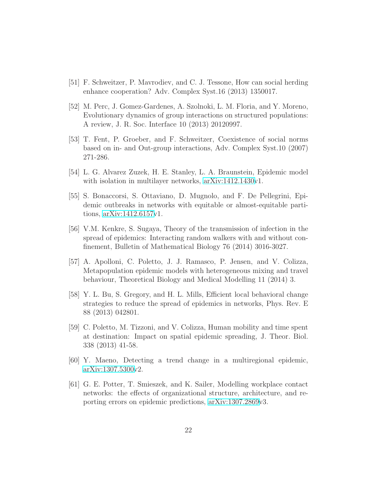- <span id="page-21-0"></span>[51] F. Schweitzer, P. Mavrodiev, and C. J. Tessone, How can social herding enhance cooperation? Adv. Complex Syst.16 (2013) 1350017.
- <span id="page-21-1"></span>[52] M. Perc, J. Gomez-Gardenes, A. Szolnoki, L. M. Floria, and Y. Moreno, Evolutionary dynamics of group interactions on structured populations: A review, J. R. Soc. Interface 10 (2013) 20120997.
- <span id="page-21-2"></span>[53] T. Fent, P. Groeber, and F. Schweitzer, Coexistence of social norms based on in- and Out-group interactions, Adv. Complex Syst.10 (2007) 271-286.
- <span id="page-21-3"></span>[54] L. G. Alvarez Zuzek, H. E. Stanley, L. A. Braunstein, Epidemic model with isolation in multilayer networks,  $arXiv:1412.1430v1$ .
- <span id="page-21-4"></span>[55] S. Bonaccorsi, S. Ottaviano, D. Mugnolo, and F. De Pellegrini, Epidemic outbreaks in networks with equitable or almost-equitable partitions, [arXiv:1412.6157v](http://arxiv.org/abs/1412.6157)1.
- <span id="page-21-5"></span>[56] V.M. Kenkre, S. Sugaya, Theory of the transmission of infection in the spread of epidemics: Interacting random walkers with and without confinement, Bulletin of Mathematical Biology 76 (2014) 3016-3027.
- <span id="page-21-6"></span>[57] A. Apolloni, C. Poletto, J. J. Ramasco, P. Jensen, and V. Colizza, Metapopulation epidemic models with heterogeneous mixing and travel behaviour, Theoretical Biology and Medical Modelling 11 (2014) 3.
- <span id="page-21-7"></span>[58] Y. L. Bu, S. Gregory, and H. L. Mills, Efficient local behavioral change strategies to reduce the spread of epidemics in networks, Phys. Rev. E 88 (2013) 042801.
- <span id="page-21-8"></span>[59] C. Poletto, M. Tizzoni, and V. Colizza, Human mobility and time spent at destination: Impact on spatial epidemic spreading, J. Theor. Biol. 338 (2013) 41-58.
- <span id="page-21-9"></span>[60] Y. Maeno, Detecting a trend change in a multiregional epidemic, [arXiv:1307.5300v](http://arxiv.org/abs/1307.5300)2.
- <span id="page-21-10"></span>[61] G. E. Potter, T. Smieszek, and K. Sailer, Modelling workplace contact networks: the effects of organizational structure, architecture, and reporting errors on epidemic predictions, [arXiv:1307.2869v](http://arxiv.org/abs/1307.2869)3.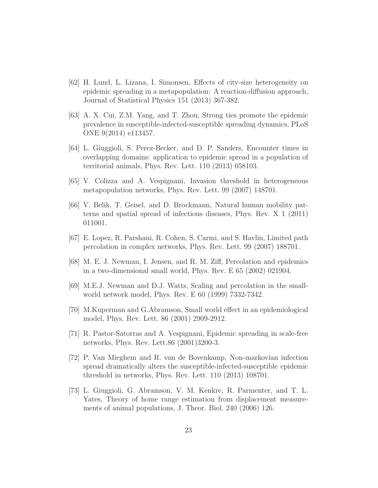- <span id="page-22-0"></span>[62] H. Lund, L. Lizana, I. Simonsen, Effects of city-size heterogeneity on epidemic spreading in a metapopulation: A reaction-diffusion approach, Journal of Statistical Physics 151 (2013) 367-382.
- <span id="page-22-1"></span>[63] A. X. Cui, Z.M. Yang, and T. Zhou, Strong ties promote the epidemic prevalence in susceptible-infected-susceptible spreading dynamics, PLoS ONE 9(2014) e113457.
- <span id="page-22-2"></span>[64] L. Giuggioli, S. Perez-Becker, and D. P. Sanders, Encounter times in overlapping domains: application to epidemic spread in a population of territorial animals, Phys. Rev. Lett. 110 (2013) 058103.
- <span id="page-22-3"></span>[65] V. Colizza and A. Vespignani, Invasion threshold in heterogeneous metapopulation networks, Phys. Rev. Lett. 99 (2007) 148701.
- <span id="page-22-4"></span>[66] V. Belik, T. Geisel, and D. Brockmann, Natural human mobility patterns and spatial spread of infectious diseases, Phys. Rev. X 1 (2011) 011001.
- <span id="page-22-5"></span>[67] E. Lopez, R. Parshani, R. Cohen, S. Carmi, and S. Havlin, Limited path percolation in complex networks, Phys. Rev. Lett. 99 (2007) 188701.
- <span id="page-22-6"></span>[68] M. E. J. Newman, I. Jensen, and R. M. Ziff, Percolation and epidemics in a two-dimensional small world, Phys. Rev. E 65 (2002) 021904.
- <span id="page-22-11"></span>[69] M.E.J. Newman and D.J. Watts, Scaling and percolation in the smallworld network model, Phys. Rev. E 60 (1999) 7332-7342.
- <span id="page-22-7"></span>[70] M.Kuperman and G.Abramson, Small world effect in an epidemiological model, Phys. Rev. Lett. 86 (2001) 2909-2912.
- <span id="page-22-8"></span>[71] R. Pastor-Satorras and A. Vespignani, Epidemic spreading in scale-free networks, Phys. Rev. Lett.86 (2001)3200-3.
- <span id="page-22-9"></span>[72] P. Van Mieghem and R. van de Bovenkamp, Non-markovian infection spread dramatically alters the susceptible-infected-susceptible epidemic threshold in networks, Phys. Rev. Lett. 110 (2013) 108701.
- <span id="page-22-10"></span>[73] L. Giuggioli, G. Abramson, V. M. Kenkre, R. Parmenter, and T. L. Yates, Theory of home range estimation from displacement measurements of animal populations, J. Theor. Biol. 240 (2006) 126.